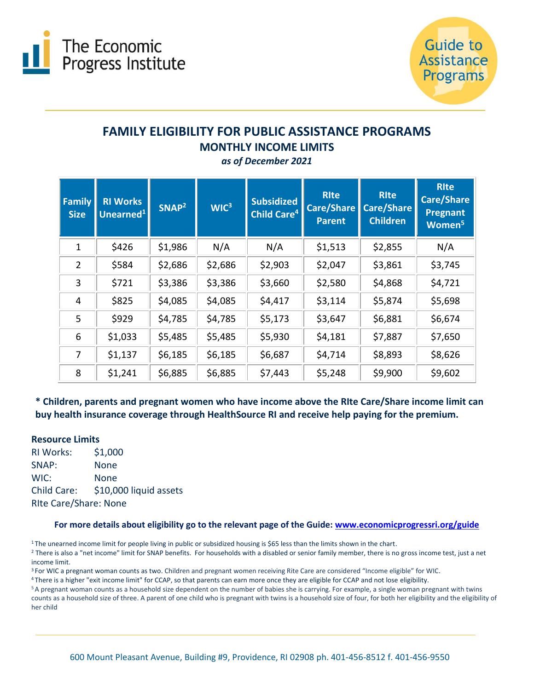



# **FAMILY ELIGIBILITY FOR PUBLIC ASSISTANCE PROGRAMS MONTHLY INCOME LIMITS**

*as of December 2021*

| <b>Family</b><br><b>Size</b> | <b>RI Works</b><br>Unearned <sup>1</sup> | SNAP <sup>2</sup> | WIC <sup>3</sup> | <b>Subsidized</b><br><b>Child Care<sup>4</sup></b> | <b>RIte</b><br><b>Care/Share</b><br><b>Parent</b> | <b>RIte</b><br><b>Care/Share</b><br><b>Children</b> | <b>RIte</b><br><b>Care/Share</b><br><b>Pregnant</b><br>Women <sup>5</sup> |
|------------------------------|------------------------------------------|-------------------|------------------|----------------------------------------------------|---------------------------------------------------|-----------------------------------------------------|---------------------------------------------------------------------------|
| $\mathbf 1$                  | \$426                                    | \$1,986           | N/A              | N/A                                                | \$1,513                                           | \$2,855                                             | N/A                                                                       |
| $\overline{2}$               | \$584                                    | \$2,686           | \$2,686          | \$2,903                                            | \$2,047                                           | \$3,861                                             | \$3,745                                                                   |
| 3                            | \$721                                    | \$3,386           | \$3,386          | \$3,660                                            | \$2,580                                           | \$4,868                                             | \$4,721                                                                   |
| 4                            | \$825                                    | \$4,085           | \$4,085          | \$4,417                                            | \$3,114                                           | \$5,874                                             | \$5,698                                                                   |
| 5                            | \$929                                    | \$4,785           | \$4,785          | \$5,173                                            | \$3,647                                           | \$6,881                                             | \$6,674                                                                   |
| 6                            | \$1,033                                  | \$5,485           | \$5,485          | \$5,930                                            | \$4,181                                           | \$7,887                                             | \$7,650                                                                   |
| 7                            | \$1,137                                  | \$6,185           | \$6,185          | \$6,687                                            | \$4,714                                           | \$8,893                                             | \$8,626                                                                   |
| 8                            | \$1,241                                  | \$6,885           | \$6,885          | \$7,443                                            | \$5,248                                           | \$9,900                                             | \$9,602                                                                   |

### **\* Children, parents and pregnant women who have income above the RIte Care/Share income limit can buy health insurance coverage through HealthSource RI and receive help paying for the premium.**

### **Resource Limits**

RI Works: \$1,000 SNAP: None WIC: None Child Care: \$10,000 liquid assets RIte Care/Share: None

### **For more details about eligibility go to the relevant page of the Guide: [www.economicprogressri.org/guide](http://www.economicprogressri.org/guide)**

<sup>1</sup>The unearned income limit for people living in public or subsidized housing is \$65 less than the limits shown in the chart.

<sup>2</sup> There is also a "net income" limit for SNAP benefits. For households with a disabled or senior family member, there is no gross income test, just a net income limit.

<sup>3</sup> For WIC a pregnant woman counts as two. Children and pregnant women receiving Rite Care are considered "Income eligible" for WIC.

<sup>4</sup>There is a higher "exit income limit" for CCAP, so that parents can earn more once they are eligible for CCAP and not lose eligibility.

<sup>5</sup>A pregnant woman counts as a household size dependent on the number of babies she is carrying. For example, a single woman pregnant with twins counts as a household size of three. A parent of one child who is pregnant with twins is a household size of four, for both her eligibility and the eligibility of her child